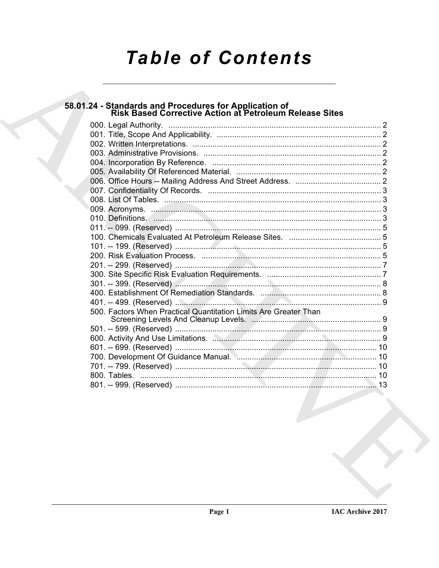# **Table of Contents**

| 58.01.24 - Standards and Procedures for Application of<br>Risk Based Corrective Action at Petroleum Release Sites |  |
|-------------------------------------------------------------------------------------------------------------------|--|
|                                                                                                                   |  |
|                                                                                                                   |  |
|                                                                                                                   |  |
|                                                                                                                   |  |
|                                                                                                                   |  |
|                                                                                                                   |  |
|                                                                                                                   |  |
|                                                                                                                   |  |
|                                                                                                                   |  |
|                                                                                                                   |  |
|                                                                                                                   |  |
|                                                                                                                   |  |
|                                                                                                                   |  |
|                                                                                                                   |  |
|                                                                                                                   |  |
|                                                                                                                   |  |
|                                                                                                                   |  |
|                                                                                                                   |  |
|                                                                                                                   |  |
|                                                                                                                   |  |
| 500. Factors When Practical Quantitation Limits Are Greater Than                                                  |  |
|                                                                                                                   |  |
|                                                                                                                   |  |
|                                                                                                                   |  |
|                                                                                                                   |  |
|                                                                                                                   |  |
|                                                                                                                   |  |
|                                                                                                                   |  |
|                                                                                                                   |  |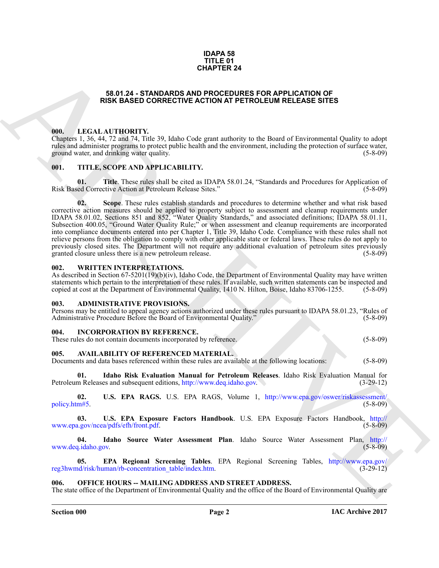#### **IDAPA 58 TITLE 01 CHAPTER 24**

#### **58.01.24 - STANDARDS AND PROCEDURES FOR APPLICATION OF RISK BASED CORRECTIVE ACTION AT PETROLEUM RELEASE SITES**

#### <span id="page-1-1"></span><span id="page-1-0"></span>**000. LEGAL AUTHORITY.**

Chapters 1, 36, 44, 72 and 74, Title 39, Idaho Code grant authority to the Board of Environmental Quality to adopt rules and administer programs to protect public health and the environment, including the protection of surface water, ground water, and drinking water quality. (5-8-09) ground water, and drinking water quality.

#### <span id="page-1-2"></span>**001. TITLE, SCOPE AND APPLICABILITY.**

**01.** Title. These rules shall be cited as IDAPA 58.01.24, "Standards and Procedures for Application of ed Corrective Action at Petroleum Release Sites." (5-8-09) Risk Based Corrective Action at Petroleum Release Sites."

**CHAPT[E](http://www.epa.gov/reg3hwmd/risk/human/rb-concentration_table/index.htm)R 24**<br> **CHAPTER 24**<br> **CHAPTER ATTEND[I](http://www.deq.idaho.gov)TY**,<br> **CHAPTER ATTENDITY**, **CHAPTER ATTENDITY**,<br> **CHAPTER ATTENDITY**,<br> **CHAPTER ATTENDITY**,<br> **CHAPTER ATTENDITY**,<br> **CHAPTER ATTENDITY**,<br> **CHAPTER ATTENDITY**,<br> **CHAPTER ATTENDITY 02. Scope**. These rules establish standards and procedures to determine whether and what risk based corrective action measures should be applied to property subject to assessment and cleanup requirements under IDAPA 58.01.02, Sections 851 and 852, "Water Quality Standards," and associated definitions; IDAPA 58.01.11, Subsection 400.05, "Ground Water Quality Rule;" or when assessment and cleanup requirements are incorporated into compliance documents entered into per Chapter 1, Title 39, Idaho Code. Compliance with these rules shall not relieve persons from the obligation to comply with other applicable state or federal laws. These rules do not apply to previously closed sites. The Department will not require any additional evaluation of petroleum sites previously granted closure unless there is a new petroleum release. (5-8-09) granted closure unless there is a new petroleum release.

### <span id="page-1-3"></span>**002. WRITTEN INTERPRETATIONS.**

As described in Section 67-5201(19)(b)(iv), Idaho Code, the Department of Environmental Quality may have written statements which pertain to the interpretation of these rules. If available, such written statements can be inspected and copied at cost at the Department of Environmental Quality, 1410 N. Hilton, Boise, Idaho 83706-1255. copied at cost at the Department of Environmental Quality, 1410 N. Hilton, Boise, Idaho 83706-1255.

#### <span id="page-1-4"></span>**003. ADMINISTRATIVE PROVISIONS.**

| Persons may be entitled to appeal agency actions authorized under these rules pursuant to IDAPA 58.01.23, "Rules of |            |
|---------------------------------------------------------------------------------------------------------------------|------------|
| Administrative Procedure Before the Board of Environmental Quality."                                                | $(5-8-09)$ |

#### <span id="page-1-5"></span>**004. INCORPORATION BY REFERENCE.**

| These rules do not contain documents incorporated by reference.<br>$(5 - 8 - 09)$ |
|-----------------------------------------------------------------------------------|
|-----------------------------------------------------------------------------------|

#### <span id="page-1-6"></span>**005. AVAILABILITY OF REFERENCED MATERIAL.**

Documents and data bases referenced within these rules are available at the following locations: (5-8-09)

**Idaho Risk Evaluation Manual for Petroleum Releases**. Idaho Risk Evaluation Manual for es and subsequent editions, http://www.deq.idaho.gov. (3-29-12) Petroleum Releases and subsequent editions, http://www.deq.idaho.gov.

**02.** U.S. EPA RAGS. U.S. EPA RAGS, Volume 1, http://www.epa.gov/oswer/riskassessment/<br>m#5. (5-8-09) policy.htm#5.

**03. U.S. EPA Exposure Factors Handbook**. U.S. EPA Exposure Factors Handbook, http:// www.epa.gov/ncea/pdfs/efh/front.pdf.

**04. Idaho Source Water Assessment Plan**. Idaho Source Water Assessment Plan, http:// www.deq.idaho.gov.

**05. EPA Regional Screening Tables**. EPA Regional Screening Tables, http://www.epa.gov/ reg3hwmd/risk/human/rb-concentration\_table/index.htm.

#### <span id="page-1-7"></span>**OFFICE HOURS -- MAILING ADDRESS AND STREET ADDRESS.**

The state office of the Department of Environmental Quality and the office of the Board of Environmental Quality are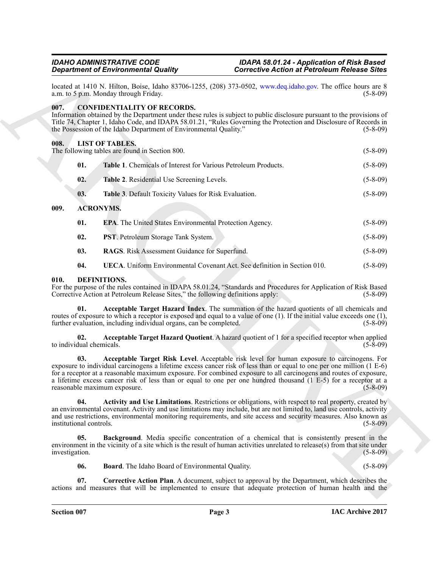#### <span id="page-2-0"></span>**007. CONFIDENTIALITY OF RECORDS.**

#### <span id="page-2-15"></span><span id="page-2-2"></span><span id="page-2-1"></span>**008. LIST OF TABLES.**

| located at 1410 N. Hilton, Boise, Idaho 83706-1255, (208) 373-0502, www.deq.idaho.gov. The office hours are 8<br>a.m. to 5 p.m. Monday through Friday.<br><b>CONFIDENTIALITY OF RECORDS.</b><br>Information obtained by the Department under these rules is subject to public disclosure pursuant to the provisions of<br>Title 74, Chapter 1, Idaho Code, and IDAPA 58.01.21, "Rules Governing the Protection and Disclosure of Records in<br>the Possession of the Idaho Department of Environmental Quality."<br><b>LIST OF TABLES.</b><br>The following tables are found in Section 800.<br>01.<br>Table 1. Chemicals of Interest for Various Petroleum Products.<br>02.<br>Table 2. Residential Use Screening Levels.<br>Table 3. Default Toxicity Values for Risk Evaluation.<br>03.<br><b>ACRONYMS.</b><br>01.<br><b>EPA.</b> The United States Environmental Protection Agency.<br>02.<br>PST. Petroleum Storage Tank System.<br>RAGS. Risk Assessment Guidance for Superfund.<br>03.<br>04.<br><b>UECA</b> . Uniform Environmental Covenant Act. See definition in Section 010.<br>DEFINITIONS.<br>Acceptable Target Hazard Index. The summation of the hazard quotients of all chemicals and<br>01.<br>Acceptable Target Hazard Quotient. A hazard quotient of 1 for a specified receptor when applied<br>02.<br>Acceptable Target Risk Level. Acceptable risk level for human exposure to carcinogens. For<br>03.<br>exposure to individual carcinogens a lifetime excess cancer risk of less than or equal to one per one million (1 E-6) | $(5-8-09)$     |
|-------------------------------------------------------------------------------------------------------------------------------------------------------------------------------------------------------------------------------------------------------------------------------------------------------------------------------------------------------------------------------------------------------------------------------------------------------------------------------------------------------------------------------------------------------------------------------------------------------------------------------------------------------------------------------------------------------------------------------------------------------------------------------------------------------------------------------------------------------------------------------------------------------------------------------------------------------------------------------------------------------------------------------------------------------------------------------------------------------------------------------------------------------------------------------------------------------------------------------------------------------------------------------------------------------------------------------------------------------------------------------------------------------------------------------------------------------------------------------------------------------------------------------------------------------|----------------|
| 007.<br>008.<br>009.<br>010.<br>For the purpose of the rules contained in IDAPA 58.01.24, "Standards and Procedures for Application of Risk Based<br>Corrective Action at Petroleum Release Sites," the following definitions apply:<br>routes of exposure to which a receptor is exposed and equal to a value of one (1). If the initial value exceeds one (1),<br>further evaluation, including individual organs, can be completed.<br>to individual chemicals.                                                                                                                                                                                                                                                                                                                                                                                                                                                                                                                                                                                                                                                                                                                                                                                                                                                                                                                                                                                                                                                                                    |                |
|                                                                                                                                                                                                                                                                                                                                                                                                                                                                                                                                                                                                                                                                                                                                                                                                                                                                                                                                                                                                                                                                                                                                                                                                                                                                                                                                                                                                                                                                                                                                                       | $(5-8-09)$     |
|                                                                                                                                                                                                                                                                                                                                                                                                                                                                                                                                                                                                                                                                                                                                                                                                                                                                                                                                                                                                                                                                                                                                                                                                                                                                                                                                                                                                                                                                                                                                                       | $(5-8-09)$     |
|                                                                                                                                                                                                                                                                                                                                                                                                                                                                                                                                                                                                                                                                                                                                                                                                                                                                                                                                                                                                                                                                                                                                                                                                                                                                                                                                                                                                                                                                                                                                                       | $(5 - 8 - 09)$ |
|                                                                                                                                                                                                                                                                                                                                                                                                                                                                                                                                                                                                                                                                                                                                                                                                                                                                                                                                                                                                                                                                                                                                                                                                                                                                                                                                                                                                                                                                                                                                                       | $(5-8-09)$     |
|                                                                                                                                                                                                                                                                                                                                                                                                                                                                                                                                                                                                                                                                                                                                                                                                                                                                                                                                                                                                                                                                                                                                                                                                                                                                                                                                                                                                                                                                                                                                                       | $(5-8-09)$     |
|                                                                                                                                                                                                                                                                                                                                                                                                                                                                                                                                                                                                                                                                                                                                                                                                                                                                                                                                                                                                                                                                                                                                                                                                                                                                                                                                                                                                                                                                                                                                                       |                |
|                                                                                                                                                                                                                                                                                                                                                                                                                                                                                                                                                                                                                                                                                                                                                                                                                                                                                                                                                                                                                                                                                                                                                                                                                                                                                                                                                                                                                                                                                                                                                       | $(5 - 8 - 09)$ |
|                                                                                                                                                                                                                                                                                                                                                                                                                                                                                                                                                                                                                                                                                                                                                                                                                                                                                                                                                                                                                                                                                                                                                                                                                                                                                                                                                                                                                                                                                                                                                       | $(5 - 8 - 09)$ |
|                                                                                                                                                                                                                                                                                                                                                                                                                                                                                                                                                                                                                                                                                                                                                                                                                                                                                                                                                                                                                                                                                                                                                                                                                                                                                                                                                                                                                                                                                                                                                       | $(5-8-09)$     |
|                                                                                                                                                                                                                                                                                                                                                                                                                                                                                                                                                                                                                                                                                                                                                                                                                                                                                                                                                                                                                                                                                                                                                                                                                                                                                                                                                                                                                                                                                                                                                       | $(5-8-09)$     |
|                                                                                                                                                                                                                                                                                                                                                                                                                                                                                                                                                                                                                                                                                                                                                                                                                                                                                                                                                                                                                                                                                                                                                                                                                                                                                                                                                                                                                                                                                                                                                       | $(5-8-09)$     |
|                                                                                                                                                                                                                                                                                                                                                                                                                                                                                                                                                                                                                                                                                                                                                                                                                                                                                                                                                                                                                                                                                                                                                                                                                                                                                                                                                                                                                                                                                                                                                       | $(5-8-09)$     |
|                                                                                                                                                                                                                                                                                                                                                                                                                                                                                                                                                                                                                                                                                                                                                                                                                                                                                                                                                                                                                                                                                                                                                                                                                                                                                                                                                                                                                                                                                                                                                       | $(5-8-09)$     |
| for a receptor at a reasonable maximum exposure. For combined exposure to all carcinogens and routes of exposure,<br>a lifetime excess cancer risk of less than or equal to one per one hundred thousand (1 E-5) for a receptor at a<br>reasonable maximum exposure.                                                                                                                                                                                                                                                                                                                                                                                                                                                                                                                                                                                                                                                                                                                                                                                                                                                                                                                                                                                                                                                                                                                                                                                                                                                                                  | $(5 - 8 - 09)$ |
| 04.<br>Activity and Use Limitations. Restrictions or obligations, with respect to real property, created by<br>an environmental covenant. Activity and use limitations may include, but are not limited to, land use controls, activity<br>and use restrictions, environmental monitoring requirements, and site access and security measures. Also known as<br>institutional controls.                                                                                                                                                                                                                                                                                                                                                                                                                                                                                                                                                                                                                                                                                                                                                                                                                                                                                                                                                                                                                                                                                                                                                               | $(5 - 8 - 09)$ |
| 05.<br><b>Background</b> . Media specific concentration of a chemical that is consistently present in the<br>environment in the vicinity of a site which is the result of human activities unrelated to release(s) from that site under<br>investigation.                                                                                                                                                                                                                                                                                                                                                                                                                                                                                                                                                                                                                                                                                                                                                                                                                                                                                                                                                                                                                                                                                                                                                                                                                                                                                             | $(5-8-09)$     |
| <b>Board</b> . The Idaho Board of Environmental Quality.<br>06.                                                                                                                                                                                                                                                                                                                                                                                                                                                                                                                                                                                                                                                                                                                                                                                                                                                                                                                                                                                                                                                                                                                                                                                                                                                                                                                                                                                                                                                                                       | $(5 - 8 - 09)$ |

#### <span id="page-2-14"></span><span id="page-2-13"></span><span id="page-2-12"></span><span id="page-2-11"></span><span id="page-2-10"></span><span id="page-2-9"></span><span id="page-2-8"></span><span id="page-2-7"></span><span id="page-2-6"></span><span id="page-2-5"></span><span id="page-2-4"></span><span id="page-2-3"></span>**010. DEFINITIONS.**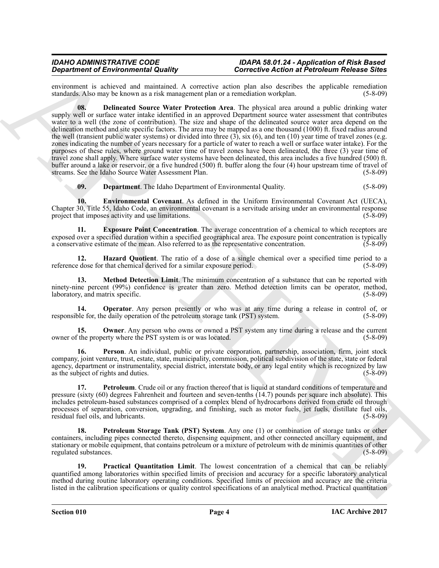<span id="page-3-0"></span>environment is achieved and maintained. A corrective action plan also describes the applicable remediation standards. Also may be known as a risk management plan or a remediation workplan. (5-8-09) standards. Also may be known as a risk management plan or a remediation workplan.

**Structure of Environmental Counting the Second Ferrican Second Ferrican Counting the Second Ferrican Second Ferrican Second Ferrican Second Ferrican Second Ferrican Second Ferrican Second Ferrican Second Ferrican Second 08. Delineated Source Water Protection Area**. The physical area around a public drinking water supply well or surface water intake identified in an approved Department source water assessment that contributes water to a well (the zone of contribution). The size and shape of the delineated source water area depend on the delineation method and site specific factors. The area may be mapped as a one thousand (1000) ft. fixed radius around the well (transient public water systems) or divided into three  $(3)$ , six  $(6)$ , and ten  $(10)$  year time of travel zones (e.g. zones indicating the number of years necessary for a particle of water to reach a well or surface water intake). For the purposes of these rules, where ground water time of travel zones have been delineated, the three (3) year time of travel zone shall apply. Where surface water systems have been delineated, this area includes a five hundred (500) ft. buffer around a lake or reservoir, or a five hundred (500) ft. buffer along the four (4) hour upstream time of travel of streams. See the Idaho Source Water Assessment Plan. (5-8-09) streams. See the Idaho Source Water Assessment Plan.

<span id="page-3-3"></span><span id="page-3-2"></span><span id="page-3-1"></span>**09. Department**. The Idaho Department of Environmental Quality. (5-8-09)

**10. Environmental Covenant**. As defined in the Uniform Environmental Covenant Act (UECA), Chapter 30, Title 55, Idaho Code, an environmental covenant is a servitude arising under an environmental response project that imposes activity and use limitations.

**11. Exposure Point Concentration**. The average concentration of a chemical to which receptors are exposed over a specified duration within a specified geographical area. The exposure point concentration is typically a conservative estimate of the mean. Also referred to as the representative concentration. (5-8-09) a conservative estimate of the mean. Also referred to as the representative concentration.

<span id="page-3-4"></span>**12. Hazard Quotient**. The ratio of a dose of a single chemical over a specified time period to a edose for that chemical derived for a similar exposure period. (5-8-09) reference dose for that chemical derived for a similar exposure period.

<span id="page-3-5"></span>**13. Method Detection Limit**. The minimum concentration of a substance that can be reported with ninety-nine percent (99%) confidence is greater than zero. Method detection limits can be operator, method, laboratory, and matrix specific. (5-8-09) laboratory, and matrix specific.

<span id="page-3-6"></span>**14. Operator**. Any person presently or who was at any time during a release in control of, or ole for, the daily operation of the petroleum storage tank (PST) system. (5-8-09) responsible for, the daily operation of the petroleum storage tank (PST) system.

<span id="page-3-7"></span>**15.** Owner. Any person who owns or owned a PST system any time during a release and the current the property where the PST system is or was located. (5-8-09) owner of the property where the PST system is or was located.

<span id="page-3-8"></span>**16. Person**. An individual, public or private corporation, partnership, association, firm, joint stock company, joint venture, trust, estate, state, municipality, commission, political subdivision of the state, state or federal agency, department or instrumentality, special district, interstate body, or any legal entity which is recognized by law<br>as the subject of rights and duties. (5-8-09) as the subject of rights and duties.

<span id="page-3-9"></span>**17. Petroleum**. Crude oil or any fraction thereof that is liquid at standard conditions of temperature and pressure (sixty (60) degrees Fahrenheit and fourteen and seven-tenths (14.7) pounds per square inch absolute). This includes petroleum-based substances comprised of a complex blend of hydrocarbons derived from crude oil through processes of separation, conversion, upgrading, and finishing, such as motor fuels, jet fuels, distillate fuel oils, residual fuel oils, and lubricants.

<span id="page-3-10"></span>**18. Petroleum Storage Tank (PST) System**. Any one (1) or combination of storage tanks or other containers, including pipes connected thereto, dispensing equipment, and other connected ancillary equipment, and stationary or mobile equipment, that contains petroleum or a mixture of petroleum with de minimis quantities of other regulated substances. (5-8-09)

<span id="page-3-11"></span>**19. Practical Quantitation Limit**. The lowest concentration of a chemical that can be reliably quantified among laboratories within specified limits of precision and accuracy for a specific laboratory analytical method during routine laboratory operating conditions. Specified limits of precision and accuracy are the criteria listed in the calibration specifications or quality control specifications of an analytical method. Practical quantitation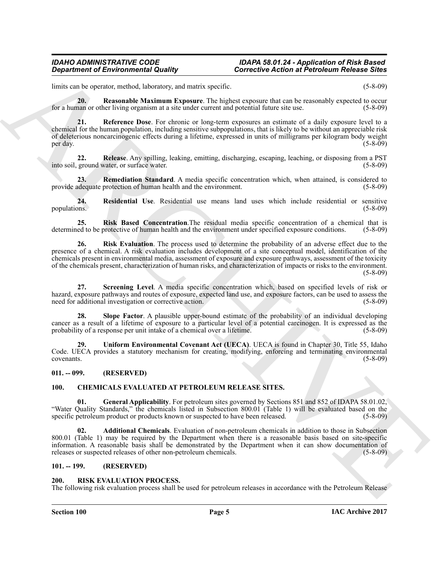limits can be operator, method, laboratory, and matrix specific. (5-8-09)

<span id="page-4-7"></span>**20. Reasonable Maximum Exposure**. The highest exposure that can be reasonably expected to occur for a human or other living organism at a site under current and potential future site use. (5-8-09)

<span id="page-4-8"></span>**21. Reference Dose**. For chronic or long-term exposures an estimate of a daily exposure level to a chemical for the human population, including sensitive subpopulations, that is likely to be without an appreciable risk of deleterious noncarcinogenic effects during a lifetime, expressed in units of milligrams per kilogram body weight per day.  $(5-8-09)$ 

<span id="page-4-9"></span>**22. Release**. Any spilling, leaking, emitting, discharging, escaping, leaching, or disposing from a PST into soil, ground water, or surface water.

<span id="page-4-10"></span>**23. Remediation Standard**. A media specific concentration which, when attained, is considered to provide adequate protection of human health and the environment. (5-8-09)

<span id="page-4-11"></span>**24. Residential Use**. Residential use means land uses which include residential or sensitive populations.

<span id="page-4-13"></span><span id="page-4-12"></span>**25. Risk Based Concentration**. The residual media specific concentration of a chemical that is ed to be protective of human health and the environment under specified exposure conditions. (5-8-09) determined to be protective of human health and the environment under specified exposure conditions.

**Equivalent of Environmental Quality<br>
Latin and Sources the Equivalent system is the control of the Control of the Control of the Control of the Control of the Control of the Control of the Control of the Control of the C 26. Risk Evaluation**. The process used to determine the probability of an adverse effect due to the presence of a chemical. A risk evaluation includes development of a site conceptual model, identification of the chemicals present in environmental media, assessment of exposure and exposure pathways, assessment of the toxicity of the chemicals present, characterization of human risks, and characterization of impacts or risks to the environment. (5-8-09)

<span id="page-4-14"></span>**27. Screening Level**. A media specific concentration which, based on specified levels of risk or hazard, exposure pathways and routes of exposure, expected land use, and exposure factors, can be used to assess the need for additional investigation or corrective action. (5-8-09) need for additional investigation or corrective action.

<span id="page-4-15"></span>**28. Slope Factor**. A plausible upper-bound estimate of the probability of an individual developing cancer as a result of a lifetime of exposure to a particular level of a potential carcinogen. It is expressed as the probability of a response per unit intake of a chemical over a lifetime.  $(5-8-09)$ probability of a response per unit intake of a chemical over a lifetime.

<span id="page-4-16"></span>**29. Uniform Environmental Covenant Act (UECA)**. UECA is found in Chapter 30, Title 55, Idaho Code. UECA provides a statutory mechanism for creating, modifying, enforcing and terminating environmental covenants. (5-8-09)

#### <span id="page-4-0"></span>**011. -- 099. (RESERVED)**

#### <span id="page-4-6"></span><span id="page-4-4"></span><span id="page-4-1"></span>**100. CHEMICALS EVALUATED AT PETROLEUM RELEASE SITES.**

**01. General Applicability**. For petroleum sites governed by Sections 851 and 852 of IDAPA 58.01.02, "Water Quality Standards," the chemicals listed in Subsection 800.01 (Table 1) will be evaluated based on the specific petroleum product or products known or suspected to have been released.

<span id="page-4-5"></span>**02. Additional Chemicals**. Evaluation of non-petroleum chemicals in addition to those in Subsection 800.01 (Table 1) may be required by the Department when there is a reasonable basis based on site-specific information. A reasonable basis shall be demonstrated by the Department when it can show documentation of releases or suspected releases of other non-petroleum chemicals. (5-8-09)

#### <span id="page-4-2"></span>**101. -- 199. (RESERVED)**

#### <span id="page-4-3"></span>**200. RISK EVALUATION PROCESS.**

The following risk evaluation process shall be used for petroleum releases in accordance with the Petroleum Release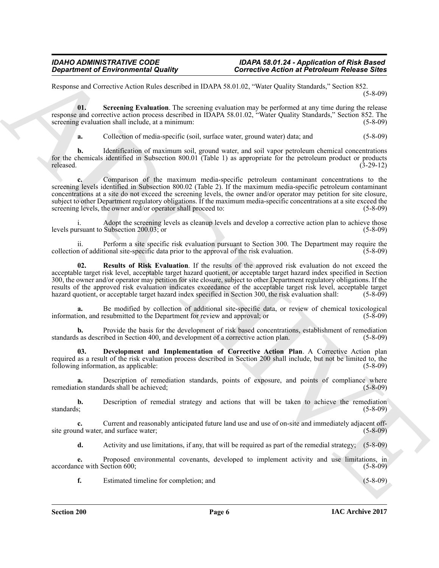Response and Corrective Action Rules described in IDAPA 58.01.02, "Water Quality Standards," Section 852. (5-8-09)

**01. Screening Evaluation**. The screening evaluation may be performed at any time during the release response and corrective action process described in IDAPA 58.01.02, "Water Quality Standards," Section 852. The screening evaluation shall include, at a minimum: (5-8-09) (5-8-09)

<span id="page-5-2"></span>**a.** Collection of media-specific (soil, surface water, ground water) data; and (5-8-09)

**b.** Identification of maximum soil, ground water, and soil vapor petroleum chemical concentrations for the chemicals identified in Subsection 800.01 (Table 1) as appropriate for the petroleum product or products released. (3-29-12) released. (3-29-12)

*Department of Environmental Quality*<br>
Response and Convention Control in the system of the system of the system of the system of the system of the system of the system of the system of the system of the system of the s **c.** Comparison of the maximum media-specific petroleum contaminant concentrations to the screening levels identified in Subsection 800.02 (Table 2). If the maximum media-specific petroleum contaminant concentrations at a site do not exceed the screening levels, the owner and/or operator may petition for site closure, subject to other Department regulatory obligations. If the maximum media-specific concentrations at a site exceed the screening levels, the owner and/or operator shall proceed to: (5-8-09) screening levels, the owner and/or operator shall proceed to:

i. Adopt the screening levels as cleanup levels and develop a corrective action plan to achieve those rsuant to Subsection 200.03; or levels pursuant to Subsection  $200.03$ ; or

ii. Perform a site specific risk evaluation pursuant to Section 300. The Department may require the not additional site-specific data prior to the approval of the risk evaluation. (5-8-09) collection of additional site-specific data prior to the approval of the risk evaluation.

<span id="page-5-1"></span>**02. Results of Risk Evaluation**. If the results of the approved risk evaluation do not exceed the acceptable target risk level, acceptable target hazard quotient, or acceptable target hazard index specified in Section 300, the owner and/or operator may petition for site closure, subject to other Department regulatory obligations. If the results of the approved risk evaluation indicates exceedance of the acceptable target risk level, acceptable target hazard quotient, or acceptable target hazard index specified in Section 300, the risk evaluation shall: (5 hazard quotient, or acceptable target hazard index specified in Section 300, the risk evaluation shall:

**a.** Be modified by collection of additional site-specific data, or review of chemical toxicological ion, and resubmitted to the Department for review and approval; or (5-8-09) information, and resubmitted to the Department for review and approval; or

**b.** Provide the basis for the development of risk based concentrations, establishment of remediation standards as described in Section 400, and development of a corrective action plan. (5-8-09)

<span id="page-5-0"></span>**03. Development and Implementation of Corrective Action Plan**. A Corrective Action plan required as a result of the risk evaluation process described in Section 200 shall include, but not be limited to, the following information, as applicable: (5-8-09) following information, as applicable:

**a.** Description of remediation standards, points of exposure, and points of compliance where remediation standards shall be achieved; (5-8-09) (5-8-09)

**b.** Description of remedial strategy and actions that will be taken to achieve the remediation standards; (5-8-09) standards; (5-8-09)

Current and reasonably anticipated future land use and use of on-site and immediately adjacent off-<br>and surface water; (5-8-09) site ground water, and surface water;

**d.** Activity and use limitations, if any, that will be required as part of the remedial strategy; (5-8-09)

**e.** Proposed environmental covenants, developed to implement activity and use limitations, in accordance with Section 600; (5-8-09)

**f.** Estimated timeline for completion; and (5-8-09)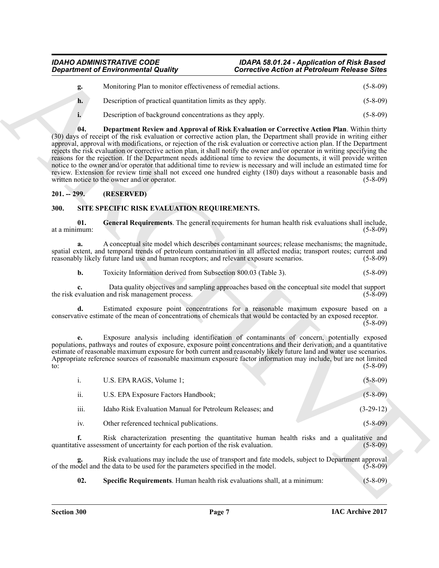## *Department of Environmental Quality Corrective Action at Petroleum Release Sites*

<span id="page-6-2"></span>

| g. | Monitoring Plan to monitor effectiveness of remedial actions. | $(5-8-09)$     |
|----|---------------------------------------------------------------|----------------|
| h. | Description of practical quantitation limits as they apply.   | $(5 - 8 - 09)$ |
|    | Description of background concentrations as they apply.       | $(5-8-09)$     |

*Generina of Environmental Quality*<br> **Corrective Action of Periodicity**<br> **Corrective Action and Periodicity**<br> **A.** Description of Periodicity and Periodicity and Securities of Corrective Action Battering (5-8-60)<br> **A. 04. Department Review and Approval of Risk Evaluation or Corrective Action Plan**. Within thirty (30) days of receipt of the risk evaluation or corrective action plan, the Department shall provide in writing either approval, approval with modifications, or rejection of the risk evaluation or corrective action plan. If the Department rejects the risk evaluation or corrective action plan, it shall notify the owner and/or operator in writing specifying the reasons for the rejection. If the Department needs additional time to review the documents, it will provide written notice to the owner and/or operator that additional time to review is necessary and will include an estimated time for review. Extension for review time shall not exceed one hundred eighty (180) days without a reasonable basis and written notice to the owner and/or operator. (5-8-09) written notice to the owner and/or operator.

#### <span id="page-6-0"></span>**201. -- 299. (RESERVED)**

### <span id="page-6-1"></span>**300. SITE SPECIFIC RISK EVALUATION REQUIREMENTS.**

<span id="page-6-3"></span>**01. General Requirements**. The general requirements for human health risk evaluations shall include, at a minimum:

**a.** A conceptual site model which describes contaminant sources; release mechanisms; the magnitude, spatial extent, and temporal trends of petroleum contamination in all affected media; transport routes; current and reasonably likely future land use and human receptors; and relevant exposure scenarios. (5-8-09)

**b.** Toxicity Information derived from Subsection 800.03 (Table 3). (5-8-09)

**c.** Data quality objectives and sampling approaches based on the conceptual site model that support valuation and risk management process. (5-8-09) the risk evaluation and risk management process.

**d.** Estimated exposure point concentrations for a reasonable maximum exposure based on a conservative estimate of the mean of concentrations of chemicals that would be contacted by an exposed receptor.

 $(5-8-09)$ 

**e.** Exposure analysis including identification of contaminants of concern, potentially exposed populations, pathways and routes of exposure, exposure point concentrations and their derivation, and a quantitative estimate of reasonable maximum exposure for both current and reasonably likely future land and water use scenarios. Appropriate reference sources of reasonable maximum exposure factor information may include, but are not limited  $t_0$ : (5-8-09)

|      | U.S. EPA RAGS, Volume 1;                                 | $(5 - 8 - 09)$ |
|------|----------------------------------------------------------|----------------|
| ii.  | U.S. EPA Exposure Factors Handbook;                      | $(5-8-09)$     |
| iii. | Idaho Risk Evaluation Manual for Petroleum Releases; and | $(3-29-12)$    |
| iv.  | Other referenced technical publications.                 | $(5 - 8 - 09)$ |

**f.** Risk characterization presenting the quantitative human health risks and a qualitative and ive assessment of uncertainty for each portion of the risk evaluation. (5-8-09) quantitative assessment of uncertainty for each portion of the risk evaluation.

**g.** Risk evaluations may include the use of transport and fate models, subject to Department approval odel and the data to be used for the parameters specified in the model. (5-8-09) of the model and the data to be used for the parameters specified in the model.

<span id="page-6-4"></span>**02. Specific Requirements**. Human health risk evaluations shall, at a minimum: (5-8-09)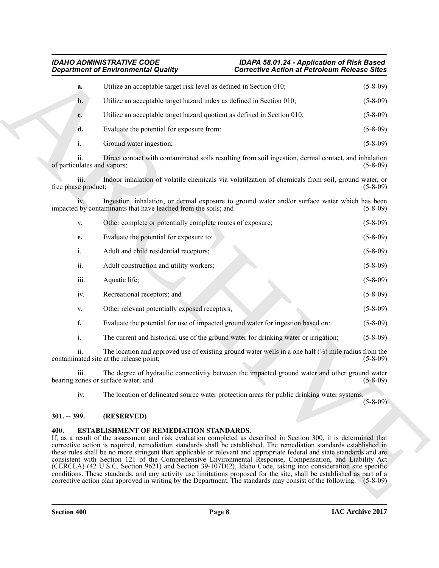| Utilize an acceptable target risk level as defined in Section 010;<br>a.<br>Utilize an acceptable target hazard index as defined in Section 010;<br>$\mathbf{b}$ .<br>Utilize an acceptable target hazard quotient as defined in Section 010;<br>c.<br>Evaluate the potential for exposure from:<br>d.<br>Ground water ingestion;<br>$\mathbf{i}$ .<br>ii.<br>Direct contact with contaminated soils resulting from soil ingestion, dermal contact, and inhalation<br>of particulates and vapors;<br>Indoor inhalation of volatile chemicals via volatilzation of chemicals from soil, ground water, or<br>iii.<br>free phase product;<br>Ingestion, inhalation, or dermal exposure to ground water and/or surface water which has been<br>impacted by contaminants that have leached from the soils; and<br>Other complete or potentially complete routes of exposure;<br>V.<br>Evaluate the potential for exposure to:<br>e.<br>$\mathbf{i}$ .<br>Adult and child residential receptors;<br>ii.<br>Adult construction and utility workers;<br>iii.<br>Aquatic life;<br>Recreational receptors; and<br>iv.<br>Other relevant potentially exposed receptors;<br>V.<br>f.<br>Evaluate the potential for use of impacted ground water for ingestion based on:<br>$\mathbf{i}$ .<br>The current and historical use of the ground water for drinking water or irrigation;<br>The location and approved use of existing ground water wells in a one half $\binom{1}{2}$ mile radius from the<br><i>ii.</i><br>contaminated site at the release point;<br>The degree of hydraulic connectivity between the impacted ground water and other ground water<br>iii.<br>bearing zones or surface water; and<br>iv.<br>The location of delineated source water protection areas for public drinking water systems.<br>$301. - 399.$<br>(RESERVED)<br>400.<br><b>ESTABLISHMENT OF REMEDIATION STANDARDS.</b><br>If, as a result of the assessment and risk evaluation completed as described in Section 300, it is determined that<br>corrective action is required, remediation standards shall be established. The remediation standards established in<br>these rules shall be no more stringent than applicable or relevant and appropriate federal and state standards and are<br>consistent with Section 121 of the Comprehensive Environmental Response, Compensation, and Liability Act<br>(CERCLA) (42 U.S.C. Section 9621) and Section 39-107D(2), Idaho Code, taking into consideration site specific | <b>Corrective Action at Petroleum Release Sites</b> |
|-----------------------------------------------------------------------------------------------------------------------------------------------------------------------------------------------------------------------------------------------------------------------------------------------------------------------------------------------------------------------------------------------------------------------------------------------------------------------------------------------------------------------------------------------------------------------------------------------------------------------------------------------------------------------------------------------------------------------------------------------------------------------------------------------------------------------------------------------------------------------------------------------------------------------------------------------------------------------------------------------------------------------------------------------------------------------------------------------------------------------------------------------------------------------------------------------------------------------------------------------------------------------------------------------------------------------------------------------------------------------------------------------------------------------------------------------------------------------------------------------------------------------------------------------------------------------------------------------------------------------------------------------------------------------------------------------------------------------------------------------------------------------------------------------------------------------------------------------------------------------------------------------------------------------------------------------------------------------------------------------------------------------------------------------------------------------------------------------------------------------------------------------------------------------------------------------------------------------------------------------------------------------------------------------------------------------------------------------------------------------------------------------------------------------------------------------------------------------------------------------------|-----------------------------------------------------|
|                                                                                                                                                                                                                                                                                                                                                                                                                                                                                                                                                                                                                                                                                                                                                                                                                                                                                                                                                                                                                                                                                                                                                                                                                                                                                                                                                                                                                                                                                                                                                                                                                                                                                                                                                                                                                                                                                                                                                                                                                                                                                                                                                                                                                                                                                                                                                                                                                                                                                                     | $(5-8-09)$                                          |
|                                                                                                                                                                                                                                                                                                                                                                                                                                                                                                                                                                                                                                                                                                                                                                                                                                                                                                                                                                                                                                                                                                                                                                                                                                                                                                                                                                                                                                                                                                                                                                                                                                                                                                                                                                                                                                                                                                                                                                                                                                                                                                                                                                                                                                                                                                                                                                                                                                                                                                     | $(5-8-09)$                                          |
|                                                                                                                                                                                                                                                                                                                                                                                                                                                                                                                                                                                                                                                                                                                                                                                                                                                                                                                                                                                                                                                                                                                                                                                                                                                                                                                                                                                                                                                                                                                                                                                                                                                                                                                                                                                                                                                                                                                                                                                                                                                                                                                                                                                                                                                                                                                                                                                                                                                                                                     | $(5 - 8 - 09)$                                      |
|                                                                                                                                                                                                                                                                                                                                                                                                                                                                                                                                                                                                                                                                                                                                                                                                                                                                                                                                                                                                                                                                                                                                                                                                                                                                                                                                                                                                                                                                                                                                                                                                                                                                                                                                                                                                                                                                                                                                                                                                                                                                                                                                                                                                                                                                                                                                                                                                                                                                                                     | $(5-8-09)$                                          |
|                                                                                                                                                                                                                                                                                                                                                                                                                                                                                                                                                                                                                                                                                                                                                                                                                                                                                                                                                                                                                                                                                                                                                                                                                                                                                                                                                                                                                                                                                                                                                                                                                                                                                                                                                                                                                                                                                                                                                                                                                                                                                                                                                                                                                                                                                                                                                                                                                                                                                                     | $(5-8-09)$                                          |
|                                                                                                                                                                                                                                                                                                                                                                                                                                                                                                                                                                                                                                                                                                                                                                                                                                                                                                                                                                                                                                                                                                                                                                                                                                                                                                                                                                                                                                                                                                                                                                                                                                                                                                                                                                                                                                                                                                                                                                                                                                                                                                                                                                                                                                                                                                                                                                                                                                                                                                     | $(5-8-09)$                                          |
|                                                                                                                                                                                                                                                                                                                                                                                                                                                                                                                                                                                                                                                                                                                                                                                                                                                                                                                                                                                                                                                                                                                                                                                                                                                                                                                                                                                                                                                                                                                                                                                                                                                                                                                                                                                                                                                                                                                                                                                                                                                                                                                                                                                                                                                                                                                                                                                                                                                                                                     | $(5-8-09)$                                          |
|                                                                                                                                                                                                                                                                                                                                                                                                                                                                                                                                                                                                                                                                                                                                                                                                                                                                                                                                                                                                                                                                                                                                                                                                                                                                                                                                                                                                                                                                                                                                                                                                                                                                                                                                                                                                                                                                                                                                                                                                                                                                                                                                                                                                                                                                                                                                                                                                                                                                                                     | $(5-8-09)$                                          |
|                                                                                                                                                                                                                                                                                                                                                                                                                                                                                                                                                                                                                                                                                                                                                                                                                                                                                                                                                                                                                                                                                                                                                                                                                                                                                                                                                                                                                                                                                                                                                                                                                                                                                                                                                                                                                                                                                                                                                                                                                                                                                                                                                                                                                                                                                                                                                                                                                                                                                                     | $(5-8-09)$                                          |
|                                                                                                                                                                                                                                                                                                                                                                                                                                                                                                                                                                                                                                                                                                                                                                                                                                                                                                                                                                                                                                                                                                                                                                                                                                                                                                                                                                                                                                                                                                                                                                                                                                                                                                                                                                                                                                                                                                                                                                                                                                                                                                                                                                                                                                                                                                                                                                                                                                                                                                     | $(5-8-09)$                                          |
|                                                                                                                                                                                                                                                                                                                                                                                                                                                                                                                                                                                                                                                                                                                                                                                                                                                                                                                                                                                                                                                                                                                                                                                                                                                                                                                                                                                                                                                                                                                                                                                                                                                                                                                                                                                                                                                                                                                                                                                                                                                                                                                                                                                                                                                                                                                                                                                                                                                                                                     | $(5-8-09)$                                          |
|                                                                                                                                                                                                                                                                                                                                                                                                                                                                                                                                                                                                                                                                                                                                                                                                                                                                                                                                                                                                                                                                                                                                                                                                                                                                                                                                                                                                                                                                                                                                                                                                                                                                                                                                                                                                                                                                                                                                                                                                                                                                                                                                                                                                                                                                                                                                                                                                                                                                                                     | $(5-8-09)$                                          |
|                                                                                                                                                                                                                                                                                                                                                                                                                                                                                                                                                                                                                                                                                                                                                                                                                                                                                                                                                                                                                                                                                                                                                                                                                                                                                                                                                                                                                                                                                                                                                                                                                                                                                                                                                                                                                                                                                                                                                                                                                                                                                                                                                                                                                                                                                                                                                                                                                                                                                                     | $(5-8-09)$                                          |
|                                                                                                                                                                                                                                                                                                                                                                                                                                                                                                                                                                                                                                                                                                                                                                                                                                                                                                                                                                                                                                                                                                                                                                                                                                                                                                                                                                                                                                                                                                                                                                                                                                                                                                                                                                                                                                                                                                                                                                                                                                                                                                                                                                                                                                                                                                                                                                                                                                                                                                     | $(5-8-09)$                                          |
|                                                                                                                                                                                                                                                                                                                                                                                                                                                                                                                                                                                                                                                                                                                                                                                                                                                                                                                                                                                                                                                                                                                                                                                                                                                                                                                                                                                                                                                                                                                                                                                                                                                                                                                                                                                                                                                                                                                                                                                                                                                                                                                                                                                                                                                                                                                                                                                                                                                                                                     | $(5-8-09)$                                          |
|                                                                                                                                                                                                                                                                                                                                                                                                                                                                                                                                                                                                                                                                                                                                                                                                                                                                                                                                                                                                                                                                                                                                                                                                                                                                                                                                                                                                                                                                                                                                                                                                                                                                                                                                                                                                                                                                                                                                                                                                                                                                                                                                                                                                                                                                                                                                                                                                                                                                                                     | $(5-8-09)$                                          |
|                                                                                                                                                                                                                                                                                                                                                                                                                                                                                                                                                                                                                                                                                                                                                                                                                                                                                                                                                                                                                                                                                                                                                                                                                                                                                                                                                                                                                                                                                                                                                                                                                                                                                                                                                                                                                                                                                                                                                                                                                                                                                                                                                                                                                                                                                                                                                                                                                                                                                                     | $(5-8-09)$                                          |
|                                                                                                                                                                                                                                                                                                                                                                                                                                                                                                                                                                                                                                                                                                                                                                                                                                                                                                                                                                                                                                                                                                                                                                                                                                                                                                                                                                                                                                                                                                                                                                                                                                                                                                                                                                                                                                                                                                                                                                                                                                                                                                                                                                                                                                                                                                                                                                                                                                                                                                     | $(5-8-09)$                                          |
|                                                                                                                                                                                                                                                                                                                                                                                                                                                                                                                                                                                                                                                                                                                                                                                                                                                                                                                                                                                                                                                                                                                                                                                                                                                                                                                                                                                                                                                                                                                                                                                                                                                                                                                                                                                                                                                                                                                                                                                                                                                                                                                                                                                                                                                                                                                                                                                                                                                                                                     | $(5-8-09)$                                          |
|                                                                                                                                                                                                                                                                                                                                                                                                                                                                                                                                                                                                                                                                                                                                                                                                                                                                                                                                                                                                                                                                                                                                                                                                                                                                                                                                                                                                                                                                                                                                                                                                                                                                                                                                                                                                                                                                                                                                                                                                                                                                                                                                                                                                                                                                                                                                                                                                                                                                                                     | $(5 - 8 - 09)$                                      |
|                                                                                                                                                                                                                                                                                                                                                                                                                                                                                                                                                                                                                                                                                                                                                                                                                                                                                                                                                                                                                                                                                                                                                                                                                                                                                                                                                                                                                                                                                                                                                                                                                                                                                                                                                                                                                                                                                                                                                                                                                                                                                                                                                                                                                                                                                                                                                                                                                                                                                                     |                                                     |
| conditions. These standards, and any activity use limitations proposed for the site, shall be established as part of a<br>corrective action plan approved in writing by the Department. The standards may consist of the following. (5-8-09)                                                                                                                                                                                                                                                                                                                                                                                                                                                                                                                                                                                                                                                                                                                                                                                                                                                                                                                                                                                                                                                                                                                                                                                                                                                                                                                                                                                                                                                                                                                                                                                                                                                                                                                                                                                                                                                                                                                                                                                                                                                                                                                                                                                                                                                        |                                                     |

#### <span id="page-7-0"></span>**301. -- 399. (RESERVED)**

### <span id="page-7-1"></span>**400. ESTABLISHMENT OF REMEDIATION STANDARDS.**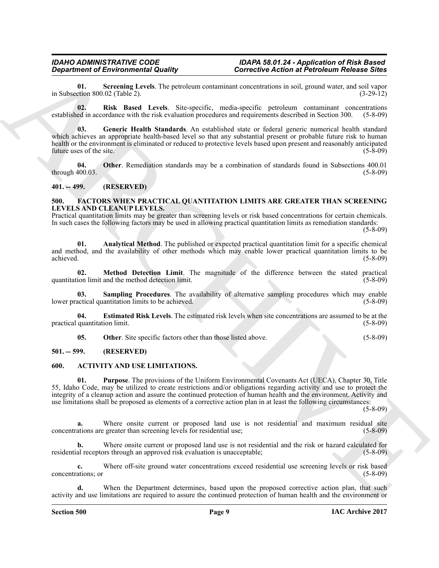<span id="page-8-9"></span>**01.** Screening Levels. The petroleum contaminant concentrations in soil, ground water, and soil vapor ction 800.02 (Table 2). in Subsection  $800.02$  (Table 2).

<span id="page-8-8"></span><span id="page-8-6"></span>**02. Risk Based Levels**. Site-specific, media-specific petroleum contaminant concentrations established in accordance with the risk evaluation procedures and requirements described in Section 300. (5-8-09)

*Generic of Environmental Quality*<br>
an Subsection of Environmental Quality<br>
an Subsection account to the system continue continue to the neutral state and Fourier and the system with the system of the system of the syst **03. Generic Health Standards**. An established state or federal generic numerical health standard which achieves an appropriate health-based level so that any substantial present or probable future risk to human health or the environment is eliminated or reduced to protective levels based upon present and reasonably anticipated future uses of the site. (5-8-09)

<span id="page-8-7"></span>**04. Other**. Remediation standards may be a combination of standards found in Subsections 400.01 through  $400.03$ .

#### <span id="page-8-0"></span>**401. -- 499. (RESERVED)**

#### <span id="page-8-10"></span><span id="page-8-1"></span>**500. FACTORS WHEN PRACTICAL QUANTITATION LIMITS ARE GREATER THAN SCREENING LEVELS AND CLEANUP LEVELS.**

Practical quantitation limits may be greater than screening levels or risk based concentrations for certain chemicals. In such cases the following factors may be used in allowing practical quantitation limits as remediation standards:

(5-8-09)

<span id="page-8-11"></span>**01. Analytical Method**. The published or expected practical quantitation limit for a specific chemical and method, and the availability of other methods which may enable lower practical quantitation limits to be achieved. (5-8-09) achieved. (5-8-09)

<span id="page-8-13"></span>**02. Method Detection Limit**. The magnitude of the difference between the stated practical ion limit and the method detection limit. (5-8-09) quantitation limit and the method detection limit.

<span id="page-8-15"></span>**03. Sampling Procedures**. The availability of alternative sampling procedures which may enable actical quantitation limits to be achieved. (5-8-09) lower practical quantitation limits to be achieved.

**04. Estimated Risk Levels**. The estimated risk levels when site concentrations are assumed to be at the practical quantitation limit. (5-8-09)

<span id="page-8-14"></span><span id="page-8-12"></span><span id="page-8-5"></span><span id="page-8-4"></span>**05.** Other. Site specific factors other than those listed above. (5-8-09)

#### <span id="page-8-2"></span>**501. -- 599. (RESERVED)**

#### <span id="page-8-3"></span>**600. ACTIVITY AND USE LIMITATIONS.**

**01. Purpose**. The provisions of the Uniform Environmental Covenants Act (UECA), Chapter 30, Title 55, Idaho Code, may be utilized to create restrictions and/or obligations regarding activity and use to protect the integrity of a cleanup action and assure the continued protection of human health and the environment. Activity and use limitations shall be proposed as elements of a corrective action plan in at least the following circumstances:

(5-8-09)

Where onsite current or proposed land use is not residential and maximum residual site greater than screening levels for residential use; (5-8-09) concentrations are greater than screening levels for residential use;

**b.** Where onsite current or proposed land use is not residential and the risk or hazard calculated for residential receptors through an approved risk evaluation is unacceptable; (5-8-09)

**c.** Where off-site ground water concentrations exceed residential use screening levels or risk based ations; or (5-8-09) concentrations; or

When the Department determines, based upon the proposed corrective action plan, that such activity and use limitations are required to assure the continued protection of human health and the environment or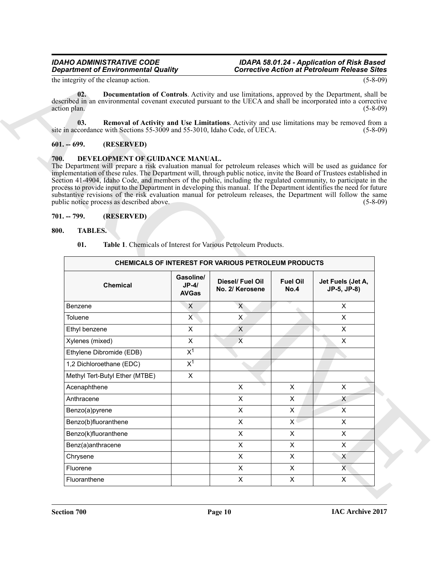#### <span id="page-9-5"></span><span id="page-9-4"></span><span id="page-9-0"></span>**601. -- 699. (RESERVED)**

#### <span id="page-9-6"></span><span id="page-9-1"></span>**700. DEVELOPMENT OF GUIDANCE MANUAL.**

#### <span id="page-9-7"></span><span id="page-9-3"></span><span id="page-9-2"></span>**800. TABLES.**

| <b>Department of Environmental Quality</b> |                                                                              |                                      |                                                                                                                                                                                                                                                                                                                                                                                                                                                                                                                                                                                                           | <b>Corrective Action at Petroleum Release Sites</b> |                                  |
|--------------------------------------------|------------------------------------------------------------------------------|--------------------------------------|-----------------------------------------------------------------------------------------------------------------------------------------------------------------------------------------------------------------------------------------------------------------------------------------------------------------------------------------------------------------------------------------------------------------------------------------------------------------------------------------------------------------------------------------------------------------------------------------------------------|-----------------------------------------------------|----------------------------------|
|                                            | the integrity of the cleanup action.                                         |                                      |                                                                                                                                                                                                                                                                                                                                                                                                                                                                                                                                                                                                           |                                                     | $(5 - 8 - 09)$                   |
| 02.<br>action plan.                        |                                                                              |                                      | Documentation of Controls. Activity and use limitations, approved by the Department, shall be<br>described in an environmental covenant executed pursuant to the UECA and shall be incorporated into a corrective                                                                                                                                                                                                                                                                                                                                                                                         |                                                     | $(5-8-09)$                       |
| 03.                                        |                                                                              |                                      | Removal of Activity and Use Limitations. Activity and use limitations may be removed from a<br>site in accordance with Sections 55-3009 and 55-3010, Idaho Code, of UECA.                                                                                                                                                                                                                                                                                                                                                                                                                                 |                                                     | $(5-8-09)$                       |
| $601. - 699.$                              | (RESERVED)                                                                   |                                      |                                                                                                                                                                                                                                                                                                                                                                                                                                                                                                                                                                                                           |                                                     |                                  |
| 700.                                       | DEVELOPMENT OF GUIDANCE MANUAL.<br>public notice process as described above. |                                      | The Department will prepare a risk evaluation manual for petroleum releases which will be used as guidance for<br>implementation of these rules. The Department will, through public notice, invite the Board of Trustees established in<br>Section 41-4904, Idaho Code, and members of the public, including the regulated community, to participate in the<br>process to provide input to the Department in developing this manual. If the Department identifies the need for future<br>substantive revisions of the risk evaluation manual for petroleum releases, the Department will follow the same |                                                     | $(5-8-09)$                       |
| $701. - 799.$                              | (RESERVED)                                                                   |                                      |                                                                                                                                                                                                                                                                                                                                                                                                                                                                                                                                                                                                           |                                                     |                                  |
| 800.<br><b>TABLES.</b>                     |                                                                              |                                      |                                                                                                                                                                                                                                                                                                                                                                                                                                                                                                                                                                                                           |                                                     |                                  |
|                                            |                                                                              |                                      |                                                                                                                                                                                                                                                                                                                                                                                                                                                                                                                                                                                                           |                                                     |                                  |
| 01.                                        |                                                                              |                                      | <b>Table 1.</b> Chemicals of Interest for Various Petroleum Products.                                                                                                                                                                                                                                                                                                                                                                                                                                                                                                                                     |                                                     |                                  |
|                                            |                                                                              |                                      |                                                                                                                                                                                                                                                                                                                                                                                                                                                                                                                                                                                                           |                                                     |                                  |
|                                            |                                                                              |                                      | <b>CHEMICALS OF INTEREST FOR VARIOUS PETROLEUM PRODUCTS</b>                                                                                                                                                                                                                                                                                                                                                                                                                                                                                                                                               |                                                     |                                  |
|                                            | <b>Chemical</b>                                                              | Gasoline/<br>$JP-4/$<br><b>AVGas</b> | Diesel/ Fuel Oil<br>No. 2/ Kerosene                                                                                                                                                                                                                                                                                                                                                                                                                                                                                                                                                                       | <b>Fuel Oil</b><br>No.4                             | Jet Fuels (Jet A,<br>JP-5, JP-8) |
| Benzene                                    |                                                                              | $\boldsymbol{\mathsf{X}}$            | $\mathsf{X}$                                                                                                                                                                                                                                                                                                                                                                                                                                                                                                                                                                                              |                                                     | X                                |
| Toluene                                    |                                                                              | X                                    | $\mathsf{X}$                                                                                                                                                                                                                                                                                                                                                                                                                                                                                                                                                                                              |                                                     | X                                |
| Ethyl benzene                              |                                                                              | X                                    | X                                                                                                                                                                                                                                                                                                                                                                                                                                                                                                                                                                                                         |                                                     | X                                |
| Xylenes (mixed)                            |                                                                              | X                                    | X                                                                                                                                                                                                                                                                                                                                                                                                                                                                                                                                                                                                         |                                                     | X                                |
|                                            | Ethylene Dibromide (EDB)                                                     | $X^1$                                |                                                                                                                                                                                                                                                                                                                                                                                                                                                                                                                                                                                                           |                                                     |                                  |
|                                            | 1,2 Dichloroethane (EDC)                                                     | $X^1$                                |                                                                                                                                                                                                                                                                                                                                                                                                                                                                                                                                                                                                           |                                                     |                                  |
|                                            | Methyl Tert-Butyl Ether (MTBE)                                               | X                                    |                                                                                                                                                                                                                                                                                                                                                                                                                                                                                                                                                                                                           |                                                     |                                  |
| Acenaphthene                               |                                                                              |                                      | $\mathsf X$                                                                                                                                                                                                                                                                                                                                                                                                                                                                                                                                                                                               | $\mathsf X$                                         | $\mathsf X$                      |
| Anthracene                                 |                                                                              |                                      | $\mathsf{X}$                                                                                                                                                                                                                                                                                                                                                                                                                                                                                                                                                                                              | $\mathsf{X}$                                        | X                                |
| Benzo(a)pyrene                             |                                                                              |                                      | $\mathsf{X}$                                                                                                                                                                                                                                                                                                                                                                                                                                                                                                                                                                                              | X                                                   | $\mathsf X$                      |
| Benzo(b)fluoranthene                       |                                                                              |                                      | $\mathsf{X}$                                                                                                                                                                                                                                                                                                                                                                                                                                                                                                                                                                                              | $\mathsf{X}$                                        | $\mathsf{X}$                     |
| Benzo(k)fluoranthene                       |                                                                              |                                      | $\mathsf{X}$                                                                                                                                                                                                                                                                                                                                                                                                                                                                                                                                                                                              | $\mathsf X$                                         | $\mathsf{X}$                     |
| Benz(a)anthracene                          |                                                                              |                                      | $\mathsf{X}$                                                                                                                                                                                                                                                                                                                                                                                                                                                                                                                                                                                              | $\mathsf{X}$                                        | X                                |
| Chrysene                                   |                                                                              |                                      | $\mathsf{X}$                                                                                                                                                                                                                                                                                                                                                                                                                                                                                                                                                                                              | $\mathsf X$                                         | X                                |
| Fluorene                                   |                                                                              |                                      | $\mathsf{X}$                                                                                                                                                                                                                                                                                                                                                                                                                                                                                                                                                                                              | $\mathsf X$                                         | $\mathsf{X}$                     |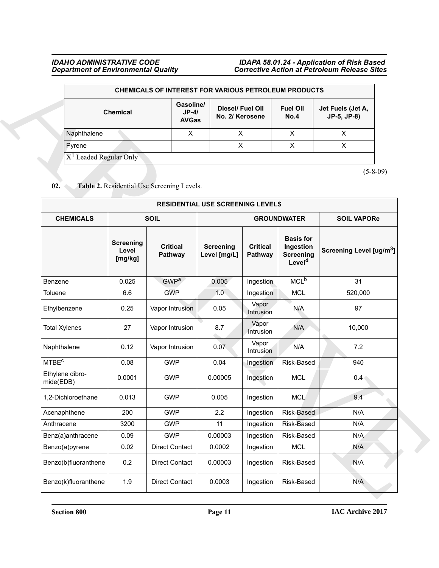|                          |                                      | <b>CHEMICALS OF INTEREST FOR VARIOUS PETROLEUM PRODUCTS</b> |                         |                                  |
|--------------------------|--------------------------------------|-------------------------------------------------------------|-------------------------|----------------------------------|
| <b>Chemical</b>          | Gasoline/<br>$JP-4/$<br><b>AVGas</b> | Diesel/ Fuel Oil<br>No. 2/ Kerosene                         | <b>Fuel Oil</b><br>No.4 | Jet Fuels (Jet A,<br>JP-5, JP-8) |
| Naphthalene              | Х                                    |                                                             |                         |                                  |
| Pyrene                   |                                      | Χ                                                           | x                       | x                                |
| $X1$ Leaded Regular Only |                                      |                                                             |                         |                                  |

### <span id="page-10-0"></span>02. Table 2. Residential Use Screening Levels.

|                              |                                      | CHEMICALS OF INTEREST FOR VARIOUS PETROLEUM PRODUCTS |                                         |                            |                                                                         |                                      |
|------------------------------|--------------------------------------|------------------------------------------------------|-----------------------------------------|----------------------------|-------------------------------------------------------------------------|--------------------------------------|
|                              | <b>Chemical</b>                      | Gasoline/<br>$JP-4/$<br><b>AVGas</b>                 | Diesel/ Fuel Oil<br>No. 2/ Kerosene     |                            | <b>Fuel Oil</b><br>No.4                                                 | Jet Fuels (Jet A,<br>JP-5, JP-8)     |
| Naphthalene                  |                                      | X                                                    | X                                       |                            | X                                                                       | X                                    |
| Pyrene                       |                                      |                                                      | $\mathsf{X}$                            |                            | $\mathsf{X}$                                                            | $\mathsf{X}$                         |
|                              | $X1$ Leaded Regular Only             |                                                      |                                         |                            |                                                                         |                                      |
| 02.                          |                                      | Table 2. Residential Use Screening Levels.           |                                         |                            |                                                                         | $(5-8-09)$                           |
|                              |                                      |                                                      | <b>RESIDENTIAL USE SCREENING LEVELS</b> |                            |                                                                         |                                      |
| <b>CHEMICALS</b>             |                                      | <b>SOIL</b>                                          |                                         |                            | <b>GROUNDWATER</b>                                                      | <b>SOIL VAPORe</b>                   |
|                              | <b>Screening</b><br>Level<br>[mg/kg] | <b>Critical</b><br>Pathway                           | <b>Screening</b><br>Level [mg/L]        | <b>Critical</b><br>Pathway | <b>Basis for</b><br>Ingestion<br><b>Screening</b><br>Level <sup>d</sup> | Screening Level [ug/m <sup>3</sup> ] |
| Benzene                      | 0.025                                | <b>GWP<sup>a</sup></b>                               | 0.005                                   | Ingestion                  | MCL <sup>b</sup>                                                        | 31                                   |
| Toluene                      | 6.6                                  | <b>GWP</b>                                           | 1.0                                     | Ingestion                  | <b>MCL</b>                                                              | 520,000                              |
| Ethylbenzene                 | 0.25                                 | Vapor Intrusion                                      | 0.05                                    | Vapor<br>Intrusion         | N/A                                                                     | 97                                   |
| <b>Total Xylenes</b>         | 27                                   | Vapor Intrusion                                      | 8.7                                     | Vapor<br>Intrusion         | N/A                                                                     | 10,000                               |
| Naphthalene                  | 0.12                                 | Vapor Intrusion                                      | 0.07                                    | Vapor<br>Intrusion         | N/A                                                                     | 7.2                                  |
| <b>MTBE<sup>c</sup></b>      | 0.08                                 | <b>GWP</b>                                           | 0.04                                    | Ingestion                  | Risk-Based                                                              | 940                                  |
| Ethylene dibro-<br>mide(EDB) | 0.0001                               | <b>GWP</b>                                           | 0.00005                                 | Ingestion                  | <b>MCL</b>                                                              | 0.4                                  |
| 1,2-Dichloroethane           | 0.013                                | <b>GWP</b>                                           | 0.005                                   | Ingestion                  | <b>MCL</b>                                                              | 9.4                                  |
| Acenaphthene                 | 200                                  | <b>GWP</b>                                           | 2.2                                     | Ingestion                  | Risk-Based                                                              | N/A                                  |
| Anthracene                   | 3200                                 | <b>GWP</b>                                           | 11                                      | Ingestion                  | Risk-Based                                                              | N/A                                  |
| Benz(a)anthracene            | 0.09                                 | <b>GWP</b>                                           | 0.00003                                 | Ingestion                  | Risk-Based                                                              | N/A                                  |
| Benzo(a)pyrene               | 0.02                                 | <b>Direct Contact</b>                                | 0.0002                                  | Ingestion                  | <b>MCL</b>                                                              | N/A                                  |
| Benzo(b)fluoranthene         | 0.2                                  | <b>Direct Contact</b>                                | 0.00003                                 | Ingestion                  | Risk-Based                                                              | N/A                                  |
|                              |                                      |                                                      |                                         |                            |                                                                         |                                      |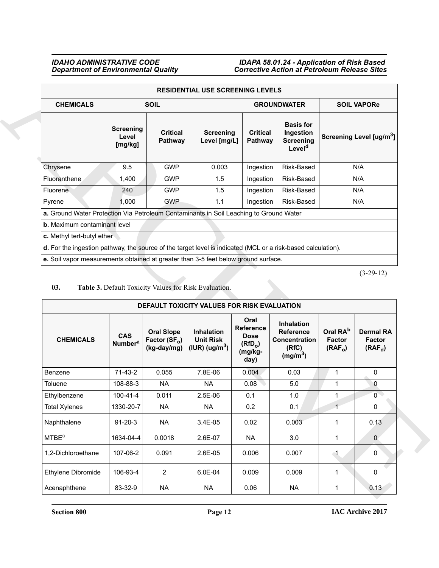|                                                                                                              |                                      |                     | <b>RESIDENTIAL USE SCREENING LEVELS</b> |                                   |                                                                         |                                      |
|--------------------------------------------------------------------------------------------------------------|--------------------------------------|---------------------|-----------------------------------------|-----------------------------------|-------------------------------------------------------------------------|--------------------------------------|
| <b>CHEMICALS</b>                                                                                             |                                      | <b>SOIL</b>         |                                         |                                   | <b>GROUNDWATER</b>                                                      | <b>SOIL VAPORe</b>                   |
|                                                                                                              | <b>Screening</b><br>Level<br>[mg/kg] | Critical<br>Pathway | <b>Screening</b><br>Level [mg/L]        | <b>Critical</b><br><b>Pathway</b> | <b>Basis for</b><br>Ingestion<br><b>Screening</b><br>Level <sup>d</sup> | Screening Level [ug/m <sup>3</sup> ] |
| Chrysene                                                                                                     | 9.5                                  | <b>GWP</b>          | 0.003                                   | Ingestion                         | Risk-Based                                                              | N/A                                  |
| <b>Fluoranthene</b>                                                                                          | 1,400                                | <b>GWP</b>          | 1.5                                     | Ingestion                         | Risk-Based                                                              | N/A                                  |
| <b>Fluorene</b>                                                                                              | 240                                  | <b>GWP</b>          | 1.5                                     | Ingestion                         | Risk-Based                                                              | N/A                                  |
| Pyrene                                                                                                       | 1,000                                | <b>GWP</b>          | 1.1                                     | Ingestion                         | Risk-Based                                                              | N/A                                  |
| a. Ground Water Protection Via Petroleum Contaminants in Soil Leaching to Ground Water                       |                                      |                     |                                         |                                   |                                                                         |                                      |
| <b>b.</b> Maximum contaminant level                                                                          |                                      |                     |                                         |                                   |                                                                         |                                      |
| c. Methyl tert-butyl ether                                                                                   |                                      |                     |                                         |                                   |                                                                         |                                      |
| d. For the ingestion pathway, the source of the target level is indicated (MCL or a risk-based calculation). |                                      |                     |                                         |                                   |                                                                         |                                      |
| e. Soil vapor measurements obtained at greater than 3-5 feet below ground surface.                           |                                      |                     |                                         |                                   |                                                                         |                                      |

### <span id="page-11-0"></span>**03. Table 3.** Default Toxicity Values for Risk Evaluation.

|                                                                                                              |                                         |                                                     | <b>RESIDENTIAL USE SCREENING LEVELS</b>               |                                                                                   |                                                                                  |                                                    |                                                |
|--------------------------------------------------------------------------------------------------------------|-----------------------------------------|-----------------------------------------------------|-------------------------------------------------------|-----------------------------------------------------------------------------------|----------------------------------------------------------------------------------|----------------------------------------------------|------------------------------------------------|
| <b>CHEMICALS</b>                                                                                             |                                         | <b>SOIL</b>                                         |                                                       |                                                                                   | <b>GROUNDWATER</b>                                                               |                                                    | <b>SOIL VAPORe</b>                             |
|                                                                                                              | <b>Screening</b><br>Level<br>[mg/kg]    | <b>Critical</b><br>Pathway                          | <b>Screening</b><br>Level [mg/L]                      | <b>Critical</b><br>Pathway                                                        | <b>Basis for</b><br>Ingestion<br><b>Screening</b><br>Level <sup>d</sup>          |                                                    | Screening Level [ug/m <sup>3</sup> ]           |
| Chrysene                                                                                                     | 9.5                                     | <b>GWP</b>                                          | 0.003                                                 | Ingestion                                                                         | Risk-Based                                                                       |                                                    | N/A                                            |
| <b>Fluoranthene</b>                                                                                          | 1,400                                   | <b>GWP</b>                                          | 1.5                                                   | Ingestion                                                                         | Risk-Based                                                                       |                                                    | N/A                                            |
| Fluorene                                                                                                     | 240                                     | <b>GWP</b>                                          | 1.5                                                   | Ingestion                                                                         | Risk-Based                                                                       |                                                    | N/A                                            |
| Pyrene                                                                                                       | 1,000                                   | <b>GWP</b>                                          | 1.1                                                   | Ingestion                                                                         | Risk-Based                                                                       |                                                    | N/A                                            |
| a. Ground Water Protection Via Petroleum Contaminants in Soil Leaching to Ground Water                       |                                         |                                                     |                                                       |                                                                                   |                                                                                  |                                                    |                                                |
| b. Maximum contaminant level                                                                                 |                                         |                                                     |                                                       |                                                                                   |                                                                                  |                                                    |                                                |
| c. Methyl tert-butyl ether                                                                                   |                                         |                                                     |                                                       |                                                                                   |                                                                                  |                                                    |                                                |
| d. For the ingestion pathway, the source of the target level is indicated (MCL or a risk-based calculation). |                                         |                                                     |                                                       |                                                                                   |                                                                                  |                                                    |                                                |
| e. Soil vapor measurements obtained at greater than 3-5 feet below ground surface.                           |                                         |                                                     |                                                       |                                                                                   |                                                                                  |                                                    |                                                |
| 03.                                                                                                          |                                         |                                                     | Table 3. Default Toxicity Values for Risk Evaluation. |                                                                                   |                                                                                  |                                                    | $(3-29-12)$                                    |
|                                                                                                              |                                         |                                                     | DEFAULT TOXICITY VALUES FOR RISK EVALUATION           |                                                                                   |                                                                                  |                                                    |                                                |
| <b>CHEMICALS</b>                                                                                             | <b>CAS</b><br><b>Number<sup>a</sup></b> | <b>Oral Slope</b><br>Factor $(SF_0)$<br>(kg-day/mg) | Inhalation<br><b>Unit Risk</b><br>(IUR) $(ug/m3)$     | Oral<br><b>Reference</b><br><b>Dose</b><br>(RfD <sub>o</sub> )<br>(mg/kg-<br>day) | Inhalation<br><b>Reference</b><br>Concentration<br>(RfC)<br>(mg/m <sup>3</sup> ) | Oral RA <sup>b</sup><br><b>Factor</b><br>$(RAF_0)$ | <b>Dermal RA</b><br><b>Factor</b><br>$(RAF_d)$ |
| Benzene                                                                                                      | $71-43-2$                               | 0.055                                               | 7.8E-06                                               | 0.004                                                                             | 0.03                                                                             | 1                                                  | 0                                              |
| Toluene                                                                                                      | 108-88-3                                | NA                                                  | NA                                                    | 0.08                                                                              | 5.0                                                                              | 1                                                  | $\mathbf{0}$                                   |
| Ethylbenzene                                                                                                 | 100-41-4                                | 0.011                                               | 2.5E-06                                               | 0.1                                                                               | 1.0                                                                              | $\mathbf{1}$                                       | $\mathsf 0$                                    |
| <b>Total Xylenes</b>                                                                                         | 1330-20-7                               | <b>NA</b>                                           | <b>NA</b>                                             | $0.2\,$                                                                           | 0.1                                                                              | $\overline{1}$                                     | 0                                              |
| Naphthalene                                                                                                  | $91 - 20 - 3$                           | <b>NA</b>                                           | 3.4E-05                                               | 0.02                                                                              | 0.003                                                                            | $\mathbf{1}$                                       | 0.13                                           |
| <b>MTBE<sup>c</sup></b>                                                                                      | 1634-04-4                               | 0.0018                                              | 2.6E-07                                               | <b>NA</b>                                                                         | 3.0                                                                              | $\mathbf{1}$                                       | $\mathbf{0}$                                   |
| 1,2-Dichloroethane                                                                                           | 107-06-2                                | 0.091                                               | 2.6E-05                                               | 0.006                                                                             | 0.007                                                                            | $\sim$ 1.                                          | 0                                              |
| Ethylene Dibromide                                                                                           | 106-93-4                                | $\overline{2}$                                      | 6.0E-04                                               | 0.009                                                                             | 0.009                                                                            | $\mathbf 1$                                        | 0                                              |

**Section 800 Page 12**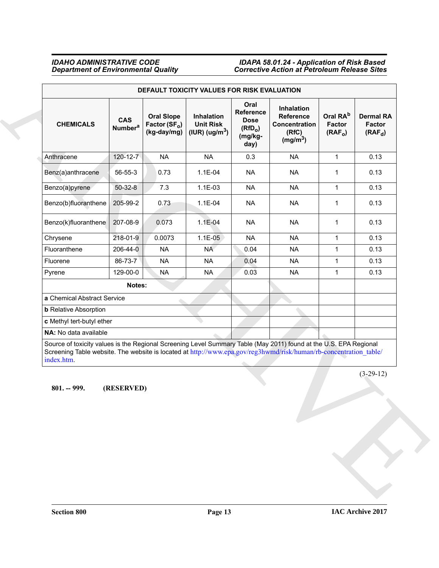<span id="page-12-0"></span>

|                                                                                                                                                                                                                                                      |                                         |                                                               | DEFAULT TOXICITY VALUES FOR RISK EVALUATION       |                                                                            |                                                                                  |                                                       |                                         |
|------------------------------------------------------------------------------------------------------------------------------------------------------------------------------------------------------------------------------------------------------|-----------------------------------------|---------------------------------------------------------------|---------------------------------------------------|----------------------------------------------------------------------------|----------------------------------------------------------------------------------|-------------------------------------------------------|-----------------------------------------|
| <b>CHEMICALS</b>                                                                                                                                                                                                                                     | <b>CAS</b><br><b>Number<sup>a</sup></b> | <b>Oral Slope</b><br>Factor (SF <sub>o</sub> )<br>(kg-day/mg) | Inhalation<br><b>Unit Risk</b><br>(IUR) $(ug/m3)$ | Oral<br>Reference<br><b>Dose</b><br>(RfD <sub>o</sub> )<br>(mg/kg-<br>day) | Inhalation<br><b>Reference</b><br>Concentration<br>(RfC)<br>(mg/m <sup>3</sup> ) | Oral RA <sup>b</sup><br>Factor<br>(RAF <sub>o</sub> ) | <b>Dermal RA</b><br>Factor<br>$(RAF_d)$ |
| Anthracene                                                                                                                                                                                                                                           | 120-12-7                                | <b>NA</b>                                                     | <b>NA</b>                                         | 0.3                                                                        | <b>NA</b>                                                                        | $\mathbf{1}$                                          | 0.13                                    |
| Benz(a)anthracene                                                                                                                                                                                                                                    | $56 - 55 - 3$                           | 0.73                                                          | 1.1E-04                                           | <b>NA</b>                                                                  | <b>NA</b>                                                                        | 1                                                     | 0.13                                    |
| Benzo(a)pyrene                                                                                                                                                                                                                                       | $50 - 32 - 8$                           | 7.3                                                           | 1.1E-03                                           | <b>NA</b>                                                                  | <b>NA</b>                                                                        | $\mathbf{1}$                                          | 0.13                                    |
| Benzo(b)fluoranthene                                                                                                                                                                                                                                 | 205-99-2                                | 0.73                                                          | 1.1E-04                                           | <b>NA</b>                                                                  | <b>NA</b>                                                                        | $\mathbf{1}$                                          | 0.13                                    |
| Benzo(k)fluoranthene                                                                                                                                                                                                                                 | 207-08-9                                | 0.073                                                         | $1.1E-04$                                         | <b>NA</b>                                                                  | <b>NA</b>                                                                        | 1                                                     | 0.13                                    |
| Chrysene                                                                                                                                                                                                                                             | 218-01-9                                | 0.0073                                                        | 1.1E-05                                           | <b>NA</b>                                                                  | <b>NA</b>                                                                        | 1                                                     | 0.13                                    |
| Fluoranthene                                                                                                                                                                                                                                         | 206-44-0                                | <b>NA</b>                                                     | NA.                                               | 0.04                                                                       | <b>NA</b>                                                                        | $\mathbf{1}$                                          | 0.13                                    |
| Fluorene                                                                                                                                                                                                                                             | 86-73-7                                 | <b>NA</b>                                                     | <b>NA</b>                                         | 0.04                                                                       | <b>NA</b>                                                                        | $\mathbf 1$                                           | 0.13                                    |
| Pyrene                                                                                                                                                                                                                                               | 129-00-0                                | <b>NA</b>                                                     | <b>NA</b>                                         | 0.03                                                                       | <b>NA</b>                                                                        | 1                                                     | 0.13                                    |
|                                                                                                                                                                                                                                                      | Notes:                                  |                                                               |                                                   |                                                                            |                                                                                  |                                                       |                                         |
| a Chemical Abstract Service                                                                                                                                                                                                                          |                                         |                                                               |                                                   |                                                                            |                                                                                  |                                                       |                                         |
| <b>b</b> Relative Absorption                                                                                                                                                                                                                         |                                         |                                                               |                                                   |                                                                            |                                                                                  |                                                       |                                         |
| c Methyl tert-butyl ether                                                                                                                                                                                                                            |                                         |                                                               |                                                   |                                                                            |                                                                                  |                                                       |                                         |
| NA: No data available                                                                                                                                                                                                                                |                                         |                                                               |                                                   |                                                                            |                                                                                  |                                                       |                                         |
| Source of toxicity values is the Regional Screening Level Summary Table (May 2011) found at the U.S. EPA Regional<br>Screening Table website. The website is located at http://www.epa.gov/reg3hwmd/risk/human/rb-concentration_table/<br>index.htm. |                                         |                                                               |                                                   |                                                                            |                                                                                  |                                                       |                                         |
| $801. - 999.$<br>(RESERVED)                                                                                                                                                                                                                          |                                         |                                                               |                                                   |                                                                            | $(3-29-12)$                                                                      |                                                       |                                         |
|                                                                                                                                                                                                                                                      |                                         |                                                               |                                                   |                                                                            |                                                                                  |                                                       |                                         |
|                                                                                                                                                                                                                                                      |                                         |                                                               |                                                   |                                                                            |                                                                                  |                                                       |                                         |
|                                                                                                                                                                                                                                                      |                                         |                                                               |                                                   |                                                                            |                                                                                  |                                                       |                                         |